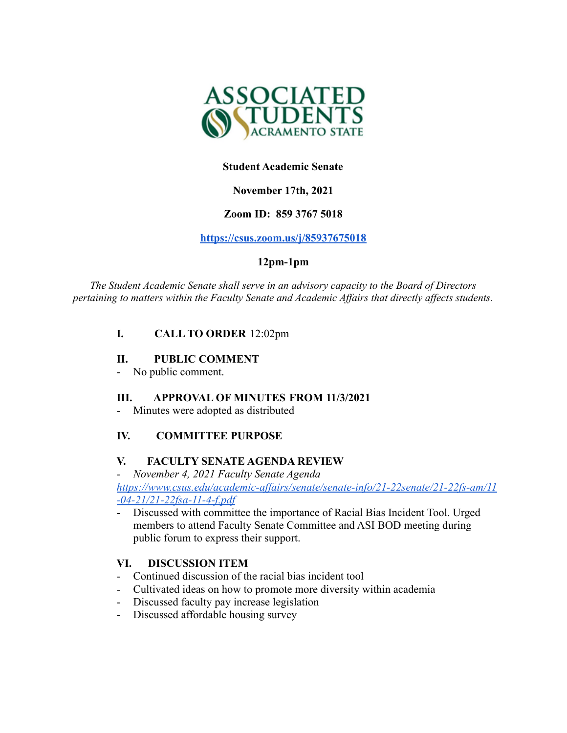

## **Student Academic Senate**

# **November 17th, 2021**

# **Zoom ID: 859 3767 5018**

#### **<https://csus.zoom.us/j/85937675018>**

# **12pm-1pm**

*The Student Academic Senate shall serve in an advisory capacity to the Board of Directors pertaining to matters within the Faculty Senate and Academic Af airs that directly af ects students.*

# **I. CALL TO ORDER** 12:02pm

#### **II. PUBLIC COMMENT**

No public comment.

#### **III. APPROVAL OF MINUTES FROM 11/3/2021**

Minutes were adopted as distributed

#### **IV. COMMITTEE PURPOSE**

#### **V. FACULTY SENATE AGENDA REVIEW**

*- November 4, 2021 Faculty Senate Agenda*

*[https://www.csus.edu/academic-affairs/senate/senate-info/21-22senate/21-22fs-am/11](https://www.csus.edu/academic-affairs/senate/senate-info/21-22senate/21-22fs-am/11-04-21/21-22fsa-11-4-f.pdf) [-04-21/21-22fsa-11-4-f.pdf](https://www.csus.edu/academic-affairs/senate/senate-info/21-22senate/21-22fs-am/11-04-21/21-22fsa-11-4-f.pdf)*

- Discussed with committee the importance of Racial Bias Incident Tool. Urged members to attend Faculty Senate Committee and ASI BOD meeting during public forum to express their support.

#### **VI. DISCUSSION ITEM**

- Continued discussion of the racial bias incident tool
- Cultivated ideas on how to promote more diversity within academia
- Discussed faculty pay increase legislation
- Discussed affordable housing survey